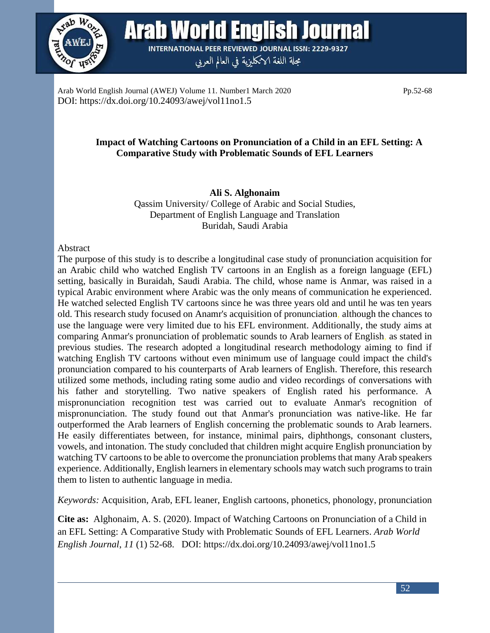

Arab World English Journal **INTERNATIONAL PEER REVIEWED JOURNAL ISSN: 2229-9327** 

مجلة اللغة الانكليزية في العالم العربي

Arab World English Journal (AWEJ) Volume 11. Number1 March 2020 Pp.52-68 DOI: https://dx.doi.org/10.24093/awej/vol11no1.5

## **Impact of Watching Cartoons on Pronunciation of a Child in an EFL Setting: A Comparative Study with Problematic Sounds of EFL Learners**

## **Ali S. Alghonaim**

Qassim University/ College of Arabic and Social Studies, Department of English Language and Translation Buridah, Saudi Arabia

### Abstract

The purpose of this study is to describe a longitudinal case study of pronunciation acquisition for an Arabic child who watched English TV cartoons in an English as a foreign language (EFL) setting, basically in Buraidah, Saudi Arabia. The child, whose name is Anmar, was raised in a typical Arabic environment where Arabic was the only means of communication he experienced. He watched selected English TV cartoons since he was three years old and until he was ten years old. This research study focused on Anamr's acquisition of pronunciation, although the chances to use the language were very limited due to his EFL environment. Additionally, the study aims at comparing Anmar's pronunciation of problematic sounds to Arab learners of English, as stated in previous studies. The research adopted a longitudinal research methodology aiming to find if watching English TV cartoons without even minimum use of language could impact the child's pronunciation compared to his counterparts of Arab learners of English. Therefore, this research utilized some methods, including rating some audio and video recordings of conversations with his father and storytelling. Two native speakers of English rated his performance. A mispronunciation recognition test was carried out to evaluate Anmar's recognition of mispronunciation. The study found out that Anmar's pronunciation was native-like. He far outperformed the Arab learners of English concerning the problematic sounds to Arab learners. He easily differentiates between, for instance, minimal pairs, diphthongs, consonant clusters, vowels, and intonation. The study concluded that children might acquire English pronunciation by watching TV cartoons to be able to overcome the pronunciation problems that many Arab speakers experience. Additionally, English learners in elementary schools may watch such programs to train them to listen to authentic language in media.

*Keywords:* Acquisition, Arab, EFL leaner, English cartoons, phonetics, phonology, pronunciation

**Cite as:** Alghonaim, A. S. (2020). Impact of Watching Cartoons on Pronunciation of a Child in an EFL Setting: A Comparative Study with Problematic Sounds of EFL Learners. *Arab World English Journal*, *11* (1) 52-68. DOI: https://dx.doi.org/10.24093/awej/vol11no1.5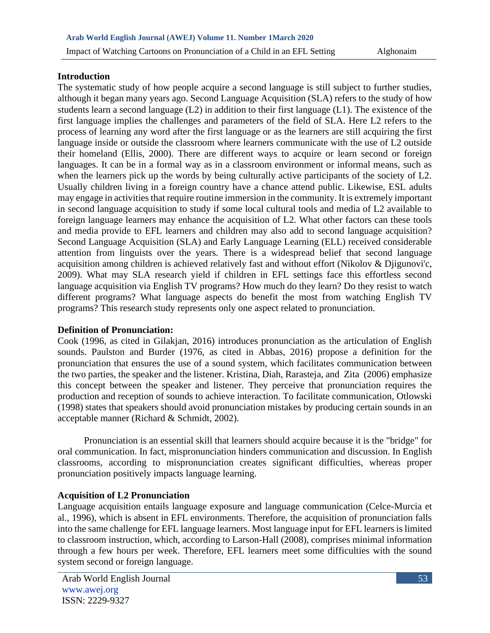## **Introduction**

The systematic study of how people acquire a second language is still subject to further studies, although it began many years ago. Second Language Acquisition (SLA) refers to the study of how students learn a second language (L2) in addition to their first language (L1). The existence of the first language implies the challenges and parameters of the field of SLA. Here L2 refers to the process of learning any word after the first language or as the learners are still acquiring the first language inside or outside the classroom where learners communicate with the use of L2 outside their homeland (Ellis, 2000). There are different ways to acquire or learn second or foreign languages. It can be in a formal way as in a classroom environment or informal means, such as when the learners pick up the words by being culturally active participants of the society of L2. Usually children living in a foreign country have a chance attend public. Likewise, ESL adults may engage in activities that require routine immersion in the community. It is extremely important in second language acquisition to study if some local cultural tools and media of L2 available to foreign language learners may enhance the acquisition of L2. What other factors can these tools and media provide to EFL learners and children may also add to second language acquisition? Second Language Acquisition (SLA) and Early Language Learning (ELL) received considerable attention from linguists over the years. There is a widespread belief that second language acquisition among children is achieved relatively fast and without effort (Nikolov & Djigunovi'c, 2009). What may SLA research yield if children in EFL settings face this effortless second language acquisition via English TV programs? How much do they learn? Do they resist to watch different programs? What language aspects do benefit the most from watching English TV programs? This research study represents only one aspect related to pronunciation.

## **Definition of Pronunciation:**

Cook (1996, as cited in Gilakjan, 2016) introduces pronunciation as the articulation of English sounds. Paulston and Burder (1976, as cited in Abbas, 2016) propose a definition for the pronunciation that ensures the use of a sound system, which facilitates communication between the two parties, the speaker and the listener. Kristina, Diah, Rarasteja, and Zita (2006) emphasize this concept between the speaker and listener. They perceive that pronunciation requires the production and reception of sounds to achieve interaction. To facilitate communication, Otlowski (1998) states that speakers should avoid pronunciation mistakes by producing certain sounds in an acceptable manner (Richard & Schmidt, 2002).

 Pronunciation is an essential skill that learners should acquire because it is the "bridge" for oral communication. In fact, mispronunciation hinders communication and discussion. In English classrooms, according to mispronunciation creates significant difficulties, whereas proper pronunciation positively impacts language learning.

## **Acquisition of L2 Pronunciation**

Language acquisition entails language exposure and language communication (Celce-Murcia et al., 1996), which is absent in EFL environments. Therefore, the acquisition of pronunciation falls into the same challenge for EFL language learners. Most language input for EFL learners is limited to classroom instruction, which, according to Larson-Hall (2008), comprises minimal information through a few hours per week. Therefore, EFL learners meet some difficulties with the sound system second or foreign language.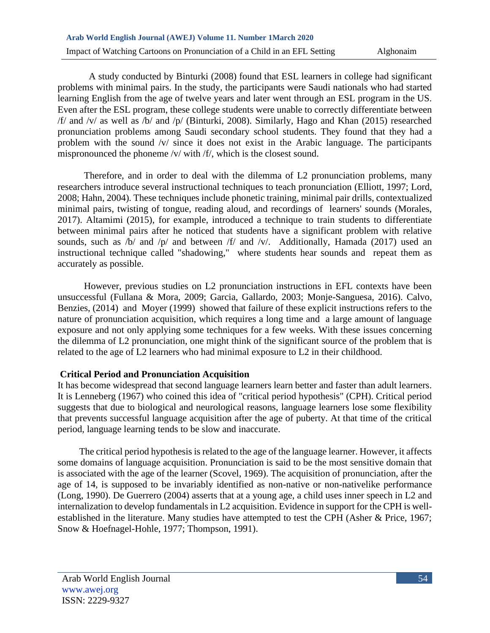A study conducted by Binturki (2008) found that ESL learners in college had significant problems with minimal pairs. In the study, the participants were Saudi nationals who had started learning English from the age of twelve years and later went through an ESL program in the US. Even after the ESL program, these college students were unable to correctly differentiate between /f/ and /v/ as well as /b/ and /p/ (Binturki, 2008). Similarly, Hago and Khan (2015) researched pronunciation problems among Saudi secondary school students. They found that they had a problem with the sound /v/ since it does not exist in the Arabic language. The participants mispronounced the phoneme /v/ with /f/, which is the closest sound.

 Therefore, and in order to deal with the dilemma of L2 pronunciation problems, many researchers introduce several instructional techniques to teach pronunciation (Elliott, 1997; Lord, 2008; Hahn, 2004). These techniques include phonetic training, minimal pair drills, contextualized minimal pairs, twisting of tongue, reading aloud, and recordings of learners' sounds (Morales, 2017). Altamimi (2015), for example, introduced a technique to train students to differentiate between minimal pairs after he noticed that students have a significant problem with relative sounds, such as /b/ and /p/ and between /f/ and /v/. Additionally, Hamada (2017) used an instructional technique called "shadowing," where students hear sounds and repeat them as accurately as possible.

 However, previous studies on L2 pronunciation instructions in EFL contexts have been unsuccessful (Fullana & Mora, 2009; Garcia, Gallardo, 2003; Monje-Sanguesa, 2016). Calvo, Benzies, (2014) and Moyer (1999) showed that failure of these explicit instructions refers to the nature of pronunciation acquisition, which requires a long time and a large amount of language exposure and not only applying some techniques for a few weeks. With these issues concerning the dilemma of L2 pronunciation, one might think of the significant source of the problem that is related to the age of L2 learners who had minimal exposure to L2 in their childhood.

## **Critical Period and Pronunciation Acquisition**

It has become widespread that second language learners learn better and faster than adult learners. It is Lenneberg (1967) who coined this idea of "critical period hypothesis" (CPH). Critical period suggests that due to biological and neurological reasons, language learners lose some flexibility that prevents successful language acquisition after the age of puberty. At that time of the critical period, language learning tends to be slow and inaccurate.

 The critical period hypothesis is related to the age of the language learner. However, it affects some domains of language acquisition. Pronunciation is said to be the most sensitive domain that is associated with the age of the learner (Scovel, 1969). The acquisition of pronunciation, after the age of 14, is supposed to be invariably identified as non-native or non-nativelike performance (Long, 1990). De Guerrero (2004) asserts that at a young age, a child uses inner speech in L2 and internalization to develop fundamentals in L2 acquisition. Evidence in support for the CPH is wellestablished in the literature. Many studies have attempted to test the CPH (Asher & Price, 1967; Snow & Hoefnagel-Hohle, 1977; Thompson, 1991).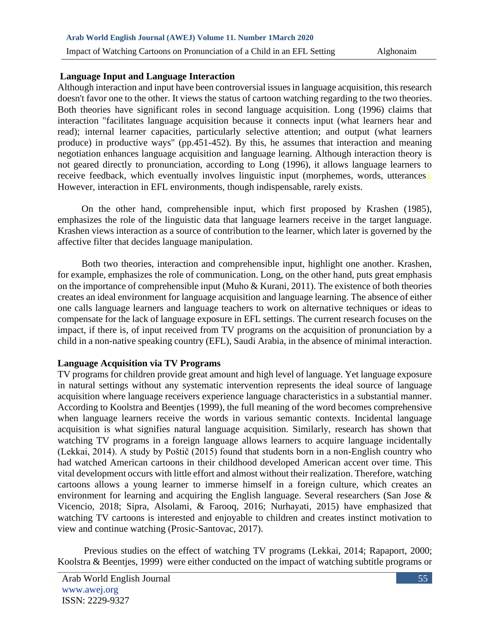#### **Language Input and Language Interaction**

Although interaction and input have been controversial issues in language acquisition, this research doesn't favor one to the other. It views the status of cartoon watching regarding to the two theories. Both theories have significant roles in second language acquisition. Long (1996) claims that interaction "facilitates language acquisition because it connects input (what learners hear and read); internal learner capacities, particularly selective attention; and output (what learners produce) in productive ways" (pp.451-452). By this, he assumes that interaction and meaning negotiation enhances language acquisition and language learning. Although interaction theory is not geared directly to pronunciation, according to Long (1996), it allows language learners to receive feedback, which eventually involves linguistic input (morphemes, words, utterances). However, interaction in EFL environments, though indispensable, rarely exists.

 On the other hand, comprehensible input, which first proposed by Krashen (1985), emphasizes the role of the linguistic data that language learners receive in the target language. Krashen views interaction as a source of contribution to the learner, which later is governed by the affective filter that decides language manipulation.

 Both two theories, interaction and comprehensible input, highlight one another. Krashen, for example, emphasizes the role of communication. Long, on the other hand, puts great emphasis on the importance of comprehensible input (Muho & Kurani, 2011). The existence of both theories creates an ideal environment for language acquisition and language learning. The absence of either one calls language learners and language teachers to work on alternative techniques or ideas to compensate for the lack of language exposure in EFL settings. The current research focuses on the impact, if there is, of input received from TV programs on the acquisition of pronunciation by a child in a non-native speaking country (EFL), Saudi Arabia, in the absence of minimal interaction.

#### **Language Acquisition via TV Programs**

TV programs for children provide great amount and high level of language. Yet language exposure in natural settings without any systematic intervention represents the ideal source of language acquisition where language receivers experience language characteristics in a substantial manner. According to Koolstra and Beentjes (1999), the full meaning of the word becomes comprehensive when language learners receive the words in various semantic contexts. Incidental language acquisition is what signifies natural language acquisition. Similarly, research has shown that watching TV programs in a foreign language allows learners to acquire language incidentally (Lekkai, 2014). A study by Poštič (2015) found that students born in a non-English country who had watched American cartoons in their childhood developed American accent over time. This vital development occurs with little effort and almost without their realization. Therefore, watching cartoons allows a young learner to immerse himself in a foreign culture, which creates an environment for learning and acquiring the English language. Several researchers (San Jose & Vicencio, 2018; Sipra, Alsolami, & Farooq, 2016; Nurhayati, 2015) have emphasized that watching TV cartoons is interested and enjoyable to children and creates instinct motivation to view and continue watching (Prosic-Santovac, 2017).

 Previous studies on the effect of watching TV programs (Lekkai, 2014; Rapaport, 2000; Koolstra & Beentjes, 1999) were either conducted on the impact of watching subtitle programs or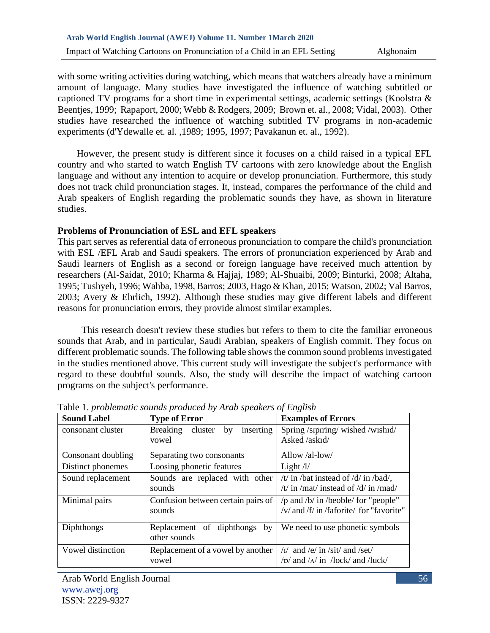with some writing activities during watching, which means that watchers already have a minimum amount of language. Many studies have investigated the influence of watching subtitled or captioned TV programs for a short time in experimental settings, academic settings (Koolstra & Beentjes, 1999; Rapaport, 2000; Webb & Rodgers, 2009; Brown et. al., 2008; Vidal, 2003). Other studies have researched the influence of watching subtitled TV programs in non-academic experiments (d'Ydewalle et. al. ,1989; 1995, 1997; Pavakanun et. al., 1992).

 However, the present study is different since it focuses on a child raised in a typical EFL country and who started to watch English TV cartoons with zero knowledge about the English language and without any intention to acquire or develop pronunciation. Furthermore, this study does not track child pronunciation stages. It, instead, compares the performance of the child and Arab speakers of English regarding the problematic sounds they have, as shown in literature studies.

### **Problems of Pronunciation of ESL and EFL speakers**

This part serves as referential data of erroneous pronunciation to compare the child's pronunciation with ESL /EFL Arab and Saudi speakers. The errors of pronunciation experienced by Arab and Saudi learners of English as a second or foreign language have received much attention by researchers (Al-Saidat, 2010; Kharma & Hajjaj, 1989; Al-Shuaibi, 2009; Binturki, 2008; Altaha, 1995; Tushyeh, 1996; Wahba, 1998, Barros; 2003, Hago & Khan, 2015; Watson, 2002; Val Barros, 2003; Avery & Ehrlich, 1992). Although these studies may give different labels and different reasons for pronunciation errors, they provide almost similar examples.

 This research doesn't review these studies but refers to them to cite the familiar erroneous sounds that Arab, and in particular, Saudi Arabian, speakers of English commit. They focus on different problematic sounds. The following table shows the common sound problems investigated in the studies mentioned above. This current study will investigate the subject's performance with regard to these doubtful sounds. Also, the study will describe the impact of watching cartoon programs on the subject's performance.

| <b>Sound Label</b> | <b>Type of Error</b>                                | <b>Examples of Errors</b>                                                        |  |
|--------------------|-----------------------------------------------------|----------------------------------------------------------------------------------|--|
| consonant cluster  | <b>Breaking</b><br>cluster by<br>inserting<br>vowel | Spring/sipiring/wished/wishid/<br>Asked /askid/                                  |  |
| Consonant doubling | Separating two consonants                           | Allow /al-low/                                                                   |  |
| Distinct phonemes  | Loosing phonetic features                           | Light $\frac{1}{2}$                                                              |  |
| Sound replacement  | Sounds are replaced with other<br>sounds            | /t/ in /bat instead of /d/ in /bad/,<br>/t/ in /mat/ instead of /d/ in /mad/     |  |
| Minimal pairs      | Confusion between certain pairs of<br>sounds        | /p and /b/ in /beoble/ for "people"<br>/y/ and /f/ in /faforite/ for "favorite"  |  |
| Diphthongs         | Replacement of diphthongs by<br>other sounds        | We need to use phonetic symbols                                                  |  |
| Vowel distinction  | Replacement of a vowel by another<br>vowel          | $\sqrt{I}$ and /e/ in /sit/ and /set/<br>$/p/$ and $/\sqrt{m}$ /lock/ and /luck/ |  |

Table 1. *problematic sounds produced by Arab speakers of English*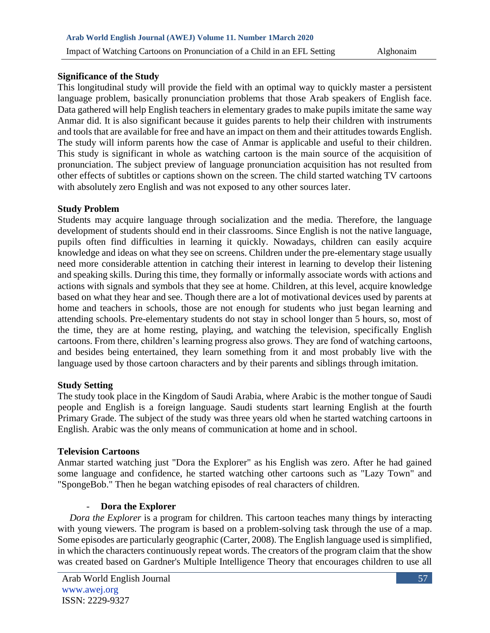## **Significance of the Study**

This longitudinal study will provide the field with an optimal way to quickly master a persistent language problem, basically pronunciation problems that those Arab speakers of English face. Data gathered will help English teachers in elementary grades to make pupils imitate the same way Anmar did. It is also significant because it guides parents to help their children with instruments and tools that are available for free and have an impact on them and their attitudes towards English. The study will inform parents how the case of Anmar is applicable and useful to their children. This study is significant in whole as watching cartoon is the main source of the acquisition of pronunciation. The subject preview of language pronunciation acquisition has not resulted from other effects of subtitles or captions shown on the screen. The child started watching TV cartoons with absolutely zero English and was not exposed to any other sources later.

### **Study Problem**

Students may acquire language through socialization and the media. Therefore, the language development of students should end in their classrooms. Since English is not the native language, pupils often find difficulties in learning it quickly. Nowadays, children can easily acquire knowledge and ideas on what they see on screens. Children under the pre-elementary stage usually need more considerable attention in catching their interest in learning to develop their listening and speaking skills. During this time, they formally or informally associate words with actions and actions with signals and symbols that they see at home. Children, at this level, acquire knowledge based on what they hear and see. Though there are a lot of motivational devices used by parents at home and teachers in schools, those are not enough for students who just began learning and attending schools. Pre-elementary students do not stay in school longer than 5 hours, so, most of the time, they are at home resting, playing, and watching the television, specifically English cartoons. From there, children's learning progress also grows. They are fond of watching cartoons, and besides being entertained, they learn something from it and most probably live with the language used by those cartoon characters and by their parents and siblings through imitation.

#### **Study Setting**

The study took place in the Kingdom of Saudi Arabia, where Arabic is the mother tongue of Saudi people and English is a foreign language. Saudi students start learning English at the fourth Primary Grade. The subject of the study was three years old when he started watching cartoons in English. Arabic was the only means of communication at home and in school.

#### **Television Cartoons**

Anmar started watching just "Dora the Explorer" as his English was zero. After he had gained some language and confidence, he started watching other cartoons such as "Lazy Town" and "SpongeBob." Then he began watching episodes of real characters of children.

## - **Dora the Explorer**

 *Dora the Explorer* is a program for children. This cartoon teaches many things by interacting with young viewers. The program is based on a problem-solving task through the use of a map. Some episodes are particularly geographic (Carter, 2008). The English language used is simplified, in which the characters continuously repeat words. The creators of the program claim that the show was created based on Gardner's Multiple Intelligence Theory that encourages children to use all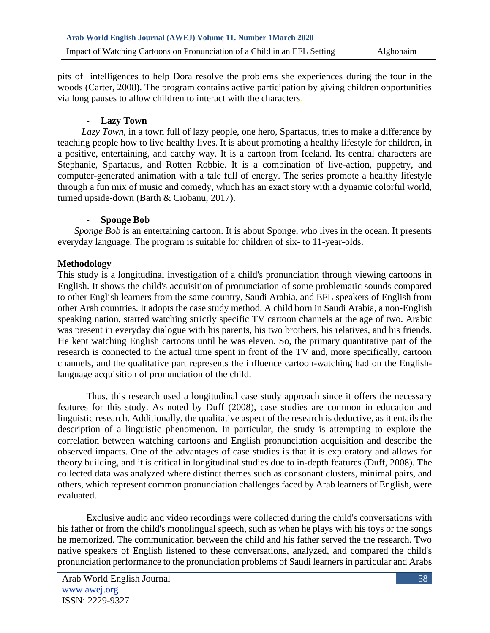pits of intelligences to help Dora resolve the problems she experiences during the tour in the woods (Carter, 2008). The program contains active participation by giving children opportunities via long pauses to allow children to interact with the characters.

## [Lazy Town](https://tcnenglish.wordpress.com/english-immersion/lazytown/)

 *Lazy Town*, in a town full of lazy people, one hero, Spartacus, tries to make a difference by teaching people how to live healthy lives. It is about promoting a healthy lifestyle for children, in a positive, entertaining, and catchy way. It is a cartoon from Iceland. Its central characters are Stephanie, Spartacus, and Rotten Robbie. It is a combination of live-action, puppetry, and computer-generated animation with a tale full of energy. The series promote a healthy lifestyle through a fun mix of music and comedy, which has an exact story with a dynamic colorful world, turned upside-down (Barth & Ciobanu, 2017).

### - **Sponge Bob**

*Sponge Bob* is an entertaining cartoon. It is about Sponge, who lives in the ocean. It presents everyday language. The program is suitable for children of six- to 11-year-olds.

## **Methodology**

This study is a longitudinal investigation of a child's pronunciation through viewing cartoons in English. It shows the child's acquisition of pronunciation of some problematic sounds compared to other English learners from the same country, Saudi Arabia, and EFL speakers of English from other Arab countries. It adopts the case study method. A child born in Saudi Arabia, a non-English speaking nation, started watching strictly specific TV cartoon channels at the age of two. Arabic was present in everyday dialogue with his parents, his two brothers, his relatives, and his friends. He kept watching English cartoons until he was eleven. So, the primary quantitative part of the research is connected to the actual time spent in front of the TV and, more specifically, cartoon channels, and the qualitative part represents the influence cartoon-watching had on the Englishlanguage acquisition of pronunciation of the child.

Thus, this research used a longitudinal case study approach since it offers the necessary features for this study. As noted by Duff (2008), case studies are common in education and linguistic research. Additionally, the qualitative aspect of the research is deductive, as it entails the description of a linguistic phenomenon. In particular, the study is attempting to explore the correlation between watching cartoons and English pronunciation acquisition and describe the observed impacts. One of the advantages of case studies is that it is exploratory and allows for theory building, and it is critical in longitudinal studies due to in-depth features (Duff, 2008). The collected data was analyzed where distinct themes such as consonant clusters, minimal pairs, and others, which represent common pronunciation challenges faced by Arab learners of English, were evaluated.

Exclusive audio and video recordings were collected during the child's conversations with his father or from the child's monolingual speech, such as when he plays with his toys or the songs he memorized. The communication between the child and his father served the the research. Two native speakers of English listened to these conversations, analyzed, and compared the child's pronunciation performance to the pronunciation problems of Saudi learners in particular and Arabs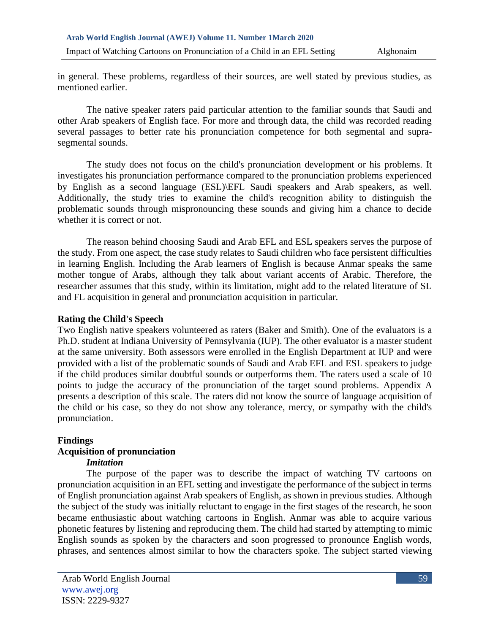in general. These problems, regardless of their sources, are well stated by previous studies, as mentioned earlier.

The native speaker raters paid particular attention to the familiar sounds that Saudi and other Arab speakers of English face. For more and through data, the child was recorded reading several passages to better rate his pronunciation competence for both segmental and suprasegmental sounds.

The study does not focus on the child's pronunciation development or his problems. It investigates his pronunciation performance compared to the pronunciation problems experienced by English as a second language (ESL)\EFL Saudi speakers and Arab speakers, as well. Additionally, the study tries to examine the child's recognition ability to distinguish the problematic sounds through mispronouncing these sounds and giving him a chance to decide whether it is correct or not.

The reason behind choosing Saudi and Arab EFL and ESL speakers serves the purpose of the study. From one aspect, the case study relates to Saudi children who face persistent difficulties in learning English. Including the Arab learners of English is because Anmar speaks the same mother tongue of Arabs, although they talk about variant accents of Arabic. Therefore, the researcher assumes that this study, within its limitation, might add to the related literature of SL and FL acquisition in general and pronunciation acquisition in particular.

### **Rating the Child's Speech**

Two English native speakers volunteered as raters (Baker and Smith). One of the evaluators is a Ph.D. student at Indiana University of Pennsylvania (IUP). The other evaluator is a master student at the same university. Both assessors were enrolled in the English Department at IUP and were provided with a list of the problematic sounds of Saudi and Arab EFL and ESL speakers to judge if the child produces similar doubtful sounds or outperforms them. The raters used a scale of 10 points to judge the accuracy of the pronunciation of the target sound problems. Appendix A presents a description of this scale. The raters did not know the source of language acquisition of the child or his case, so they do not show any tolerance, mercy, or sympathy with the child's pronunciation.

#### **Findings**

## **Acquisition of pronunciation**

## *Imitation*

The purpose of the paper was to describe the impact of watching TV cartoons on pronunciation acquisition in an EFL setting and investigate the performance of the subject in terms of English pronunciation against Arab speakers of English, as shown in previous studies. Although the subject of the study was initially reluctant to engage in the first stages of the research, he soon became enthusiastic about watching cartoons in English. Anmar was able to acquire various phonetic features by listening and reproducing them. The child had started by attempting to mimic English sounds as spoken by the characters and soon progressed to pronounce English words, phrases, and sentences almost similar to how the characters spoke. The subject started viewing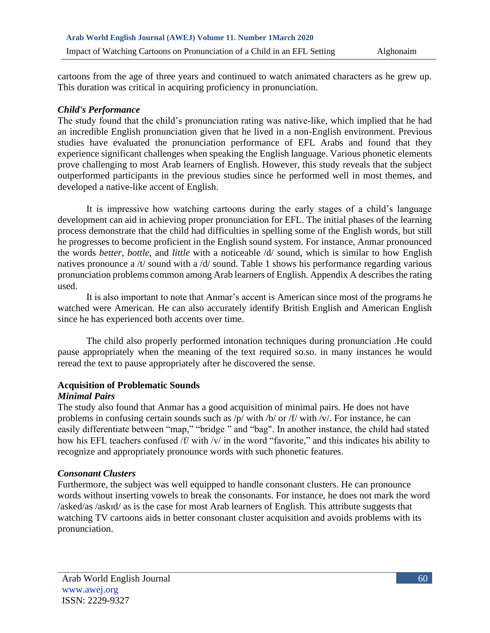cartoons from the age of three years and continued to watch animated characters as he grew up. This duration was critical in acquiring proficiency in pronunciation.

## *Child's Performance*

The study found that the child's pronunciation rating was native-like, which implied that he had an incredible English pronunciation given that he lived in a non-English environment. Previous studies have evaluated the pronunciation performance of EFL Arabs and found that they experience significant challenges when speaking the English language. Various phonetic elements prove challenging to most Arab learners of English. However, this study reveals that the subject outperformed participants in the previous studies since he performed well in most themes, and developed a native-like accent of English.

It is impressive how watching cartoons during the early stages of a child's language development can aid in achieving proper pronunciation for EFL. The initial phases of the learning process demonstrate that the child had difficulties in spelling some of the English words, but still he progresses to become proficient in the English sound system. For instance, Anmar pronounced the words *better*, *bottle*, and *little* with a noticeable /d/ sound, which is similar to how English natives pronounce a /t/ sound with a /d/ sound. Table 1 shows his performance regarding various pronunciation problems common among Arab learners of English. Appendix A describes the rating used.

It is also important to note that Anmar's accent is American since most of the programs he watched were American. He can also accurately identify British English and American English since he has experienced both accents over time.

The child also properly performed intonation techniques during pronunciation .He could pause appropriately when the meaning of the text required so.so. in many instances he would reread the text to pause appropriately after he discovered the sense.

## **Acquisition of Problematic Sounds**

#### *Minimal Pairs*

The study also found that Anmar has a good acquisition of minimal pairs. He does not have problems in confusing certain sounds such as /p/ with /b/ or /f/ with /v/. For instance, he can easily differentiate between "map," "bridge," and "bag". In another instance, the child had stated how his EFL teachers confused /f/ with /v/ in the word "favorite," and this indicates his ability to recognize and appropriately pronounce words with such phonetic features.

## *Consonant Clusters*

Furthermore, the subject was well equipped to handle consonant clusters. He can pronounce words without inserting vowels to break the consonants. For instance, he does not mark the word /asked/as /askɪd/ as is the case for most Arab learners of English. This attribute suggests that watching TV cartoons aids in better consonant cluster acquisition and avoids problems with its pronunciation.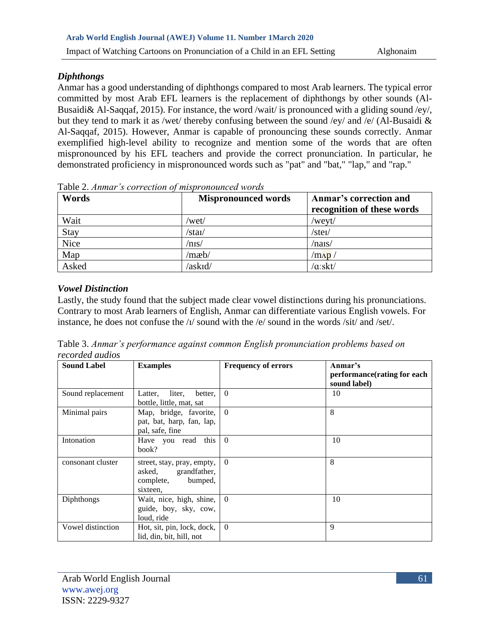## *Diphthongs*

Anmar has a good understanding of diphthongs compared to most Arab learners. The typical error committed by most Arab EFL learners is the replacement of diphthongs by other sounds (Al-Busaidi& Al-Saqqaf, 2015). For instance, the word /wait/ is pronounced with a gliding sound /ey/, but they tend to mark it as /wet/ thereby confusing between the sound /ey/ and /e/ (Al-Busaidi & Al-Saqqaf, 2015). However, Anmar is capable of pronouncing these sounds correctly. Anmar exemplified high-level ability to recognize and mention some of the words that are often mispronounced by his EFL teachers and provide the correct pronunciation. In particular, he demonstrated proficiency in mispronounced words such as "pat" and "bat," "lap," and "rap."

| Words | <b>Mispronounced words</b> | Anmar's correction and<br>recognition of these words |
|-------|----------------------------|------------------------------------------------------|
| Wait  | /wet/                      | $/$ weyt $/$                                         |
| Stay  | $\sqrt{\text{stat}}$       | $\sqrt{\text{steI}}$                                 |
| Nice  | $/$ nis $/$                | $/n$ ars/                                            |
| Map   | /mæb/                      | $/m\Lambda p$                                        |
| Asked | /askid/                    | $/\alpha$ :skt/                                      |

Table 2. *Anmar's correction of mispronounced words*

## *Vowel Distinction*

Lastly, the study found that the subject made clear vowel distinctions during his pronunciations. Contrary to most Arab learners of English, Anmar can differentiate various English vowels. For instance, he does not confuse the  $\frac{1}{\sqrt{2}}$  sound with the  $\frac{1}{e}$  sound in the words  $\frac{1}{\sqrt{2}}$  and  $\frac{1}{\sqrt{2}}$ .

Table 3. *Anmar's performance against common English pronunciation problems based on recorded audios*

| <b>Sound Label</b> | <b>Examples</b>                                                                       | <b>Frequency of errors</b> | Anmar's<br>performance(rating for each<br>sound label) |
|--------------------|---------------------------------------------------------------------------------------|----------------------------|--------------------------------------------------------|
| Sound replacement  | liter.<br>better,<br>Latter,<br>bottle, little, mat, sat                              | $\theta$                   | 10                                                     |
| Minimal pairs      | Map, bridge, favorite,<br>pat, bat, harp, fan, lap,<br>pal, safe, fine                | $\overline{0}$             | 8                                                      |
| Intonation         | Have you read this<br>book?                                                           | $\theta$                   | 10                                                     |
| consonant cluster  | street, stay, pray, empty,<br>asked, grandfather,<br>bumped,<br>complete,<br>sixteen. | $\theta$                   | 8                                                      |
| Diphthongs         | Wait, nice, high, shine, 0<br>guide, boy, sky, cow,<br>loud, ride                     |                            | 10                                                     |
| Vowel distinction  | Hot, sit, pin, lock, dock,<br>lid, din, bit, hill, not                                | $\theta$                   | 9                                                      |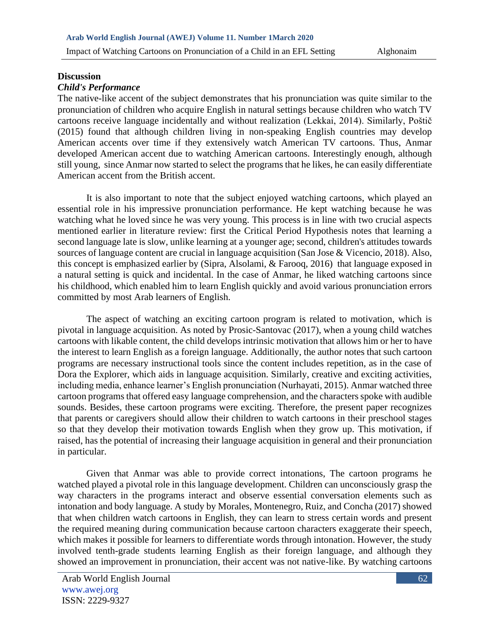# **Discussion**

## *Child's Performance*

The native-like accent of the subject demonstrates that his pronunciation was quite similar to the pronunciation of children who acquire English in natural settings because children who watch TV cartoons receive language incidentally and without realization (Lekkai, 2014). Similarly, Poštič (2015) found that although children living in non-speaking English countries may develop American accents over time if they extensively watch American TV cartoons. Thus, Anmar developed American accent due to watching American cartoons. Interestingly enough, although still young, since Anmar now started to select the programs that he likes, he can easily differentiate American accent from the British accent.

It is also important to note that the subject enjoyed watching cartoons, which played an essential role in his impressive pronunciation performance. He kept watching because he was watching what he loved since he was very young. This process is in line with two crucial aspects mentioned earlier in literature review: first the Critical Period Hypothesis notes that learning a second language late is slow, unlike learning at a younger age; second, children's attitudes towards sources of language content are crucial in language acquisition (San Jose & Vicencio, 2018). Also, this concept is emphasized earlier by (Sipra, Alsolami, & Farooq, 2016) that language exposed in a natural setting is quick and incidental. In the case of Anmar, he liked watching cartoons since his childhood, which enabled him to learn English quickly and avoid various pronunciation errors committed by most Arab learners of English.

The aspect of watching an exciting cartoon program is related to motivation, which is pivotal in language acquisition. As noted by Prosic-Santovac (2017), when a young child watches cartoons with likable content, the child develops intrinsic motivation that allows him or her to have the interest to learn English as a foreign language. Additionally, the author notes that such cartoon programs are necessary instructional tools since the content includes repetition, as in the case of Dora the Explorer, which aids in language acquisition. Similarly, creative and exciting activities, including media, enhance learner's English pronunciation (Nurhayati, 2015). Anmar watched three cartoon programs that offered easy language comprehension, and the characters spoke with audible sounds. Besides, these cartoon programs were exciting. Therefore, the present paper recognizes that parents or caregivers should allow their children to watch cartoons in their preschool stages so that they develop their motivation towards English when they grow up. This motivation, if raised, has the potential of increasing their language acquisition in general and their pronunciation in particular.

Given that Anmar was able to provide correct intonations, The cartoon programs he watched played a pivotal role in this language development. Children can unconsciously grasp the way characters in the programs interact and observe essential conversation elements such as intonation and body language. A study by Morales, Montenegro, Ruiz, and Concha (2017) showed that when children watch cartoons in English, they can learn to stress certain words and present the required meaning during communication because cartoon characters exaggerate their speech, which makes it possible for learners to differentiate words through intonation. However, the study involved tenth-grade students learning English as their foreign language, and although they showed an improvement in pronunciation, their accent was not native-like. By watching cartoons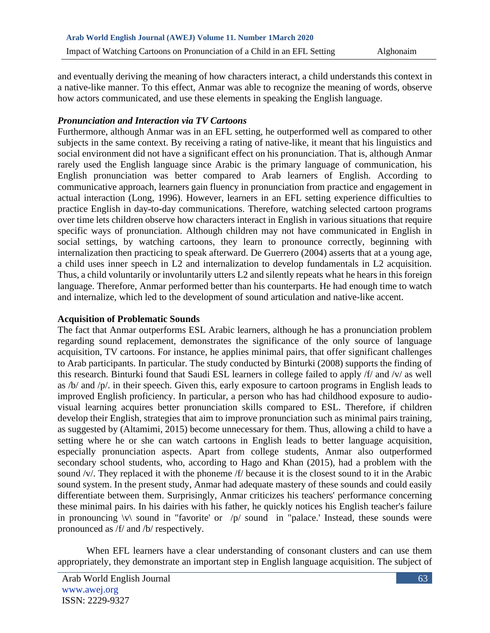and eventually deriving the meaning of how characters interact, a child understands this context in a native-like manner. To this effect, Anmar was able to recognize the meaning of words, observe how actors communicated, and use these elements in speaking the English language.

## *Pronunciation and Interaction via TV Cartoons*

Furthermore, although Anmar was in an EFL setting, he outperformed well as compared to other subjects in the same context. By receiving a rating of native-like, it meant that his linguistics and social environment did not have a significant effect on his pronunciation. That is, although Anmar rarely used the English language since Arabic is the primary language of communication, his English pronunciation was better compared to Arab learners of English. According to communicative approach, learners gain fluency in pronunciation from practice and engagement in actual interaction (Long, 1996). However, learners in an EFL setting experience difficulties to practice English in day-to-day communications. Therefore, watching selected cartoon programs over time lets children observe how characters interact in English in various situations that require specific ways of pronunciation. Although children may not have communicated in English in social settings, by watching cartoons, they learn to pronounce correctly, beginning with internalization then practicing to speak afterward. De Guerrero (2004) asserts that at a young age, a child uses inner speech in L2 and internalization to develop fundamentals in L2 acquisition. Thus, a child voluntarily or involuntarily utters L2 and silently repeats what he hears in this foreign language. Therefore, Anmar performed better than his counterparts. He had enough time to watch and internalize, which led to the development of sound articulation and native-like accent.

## **Acquisition of Problematic Sounds**

The fact that Anmar outperforms ESL Arabic learners, although he has a pronunciation problem regarding sound replacement, demonstrates the significance of the only source of language acquisition, TV cartoons. For instance, he applies minimal pairs, that offer significant challenges to Arab participants. In particular. The study conducted by Binturki (2008) supports the finding of this research. Binturki found that Saudi ESL learners in college failed to apply /f/ and /v/ as well as /b/ and /p/. in their speech. Given this, early exposure to cartoon programs in English leads to improved English proficiency. In particular, a person who has had childhood exposure to audiovisual learning acquires better pronunciation skills compared to ESL. Therefore, if children develop their English, strategies that aim to improve pronunciation such as minimal pairs training, as suggested by (Altamimi, 2015) become unnecessary for them. Thus, allowing a child to have a setting where he or she can watch cartoons in English leads to better language acquisition, especially pronunciation aspects. Apart from college students, Anmar also outperformed secondary school students, who, according to Hago and Khan (2015), had a problem with the sound /v/. They replaced it with the phoneme /f/ because it is the closest sound to it in the Arabic sound system. In the present study, Anmar had adequate mastery of these sounds and could easily differentiate between them. Surprisingly, Anmar criticizes his teachers' performance concerning these minimal pairs. In his dairies with his father, he quickly notices his English teacher's failure in pronouncing  $\{v\}$  sound in "favorite' or  $\langle p \rangle$  sound in "palace.' Instead, these sounds were pronounced as /f/ and /b/ respectively.

When EFL learners have a clear understanding of consonant clusters and can use them appropriately, they demonstrate an important step in English language acquisition. The subject of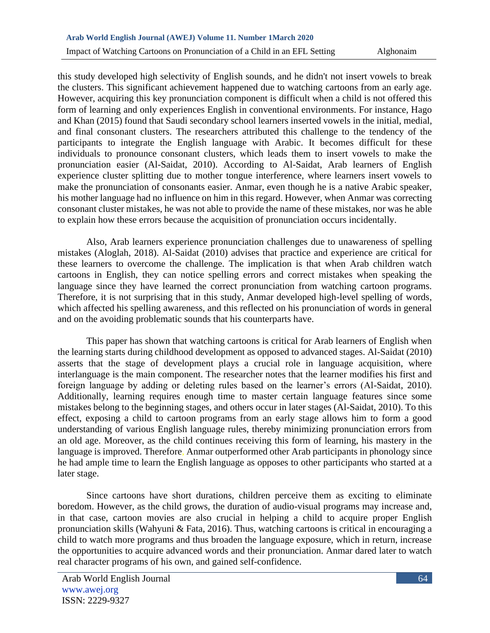this study developed high selectivity of English sounds, and he didn't not insert vowels to break the clusters. This significant achievement happened due to watching cartoons from an early age. However, acquiring this key pronunciation component is difficult when a child is not offered this form of learning and only experiences English in conventional environments. For instance, Hago and Khan (2015) found that Saudi secondary school learners inserted vowels in the initial, medial, and final consonant clusters. The researchers attributed this challenge to the tendency of the participants to integrate the English language with Arabic. It becomes difficult for these individuals to pronounce consonant clusters, which leads them to insert vowels to make the pronunciation easier (Al-Saidat, 2010). According to Al-Saidat, Arab learners of English experience cluster splitting due to mother tongue interference, where learners insert vowels to make the pronunciation of consonants easier. Anmar, even though he is a native Arabic speaker, his mother language had no influence on him in this regard. However, when Anmar was correcting consonant cluster mistakes, he was not able to provide the name of these mistakes, nor was he able to explain how these errors because the acquisition of pronunciation occurs incidentally.

Also, Arab learners experience pronunciation challenges due to unawareness of spelling mistakes (Aloglah, 2018). Al-Saidat (2010) advises that practice and experience are critical for these learners to overcome the challenge. The implication is that when Arab children watch cartoons in English, they can notice spelling errors and correct mistakes when speaking the language since they have learned the correct pronunciation from watching cartoon programs. Therefore, it is not surprising that in this study, Anmar developed high-level spelling of words, which affected his spelling awareness, and this reflected on his pronunciation of words in general and on the avoiding problematic sounds that his counterparts have.

This paper has shown that watching cartoons is critical for Arab learners of English when the learning starts during childhood development as opposed to advanced stages. Al-Saidat (2010) asserts that the stage of development plays a crucial role in language acquisition, where interlanguage is the main component. The researcher notes that the learner modifies his first and foreign language by adding or deleting rules based on the learner's errors (Al-Saidat, 2010). Additionally, learning requires enough time to master certain language features since some mistakes belong to the beginning stages, and others occur in later stages (Al-Saidat, 2010). To this effect, exposing a child to cartoon programs from an early stage allows him to form a good understanding of various English language rules, thereby minimizing pronunciation errors from an old age. Moreover, as the child continues receiving this form of learning, his mastery in the language is improved. Therefore, Anmar outperformed other Arab participants in phonology since he had ample time to learn the English language as opposes to other participants who started at a later stage.

Since cartoons have short durations, children perceive them as exciting to eliminate boredom. However, as the child grows, the duration of audio-visual programs may increase and, in that case, cartoon movies are also crucial in helping a child to acquire proper English pronunciation skills (Wahyuni & Fata, 2016). Thus, watching cartoons is critical in encouraging a child to watch more programs and thus broaden the language exposure, which in return, increase the opportunities to acquire advanced words and their pronunciation. Anmar dared later to watch real character programs of his own, and gained self-confidence.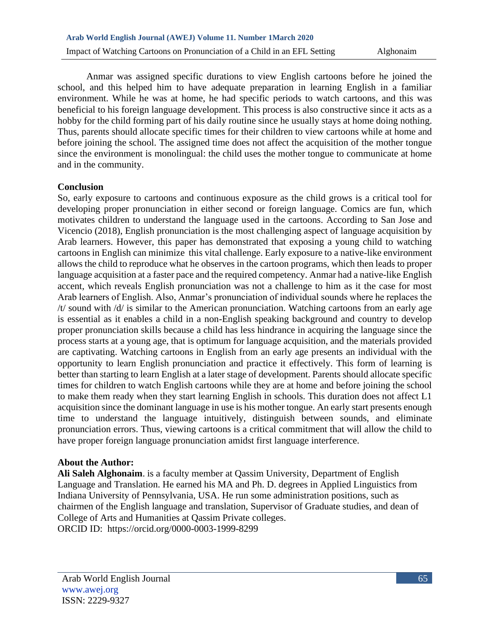Anmar was assigned specific durations to view English cartoons before he joined the school, and this helped him to have adequate preparation in learning English in a familiar environment. While he was at home, he had specific periods to watch cartoons, and this was beneficial to his foreign language development. This process is also constructive since it acts as a hobby for the child forming part of his daily routine since he usually stays at home doing nothing. Thus, parents should allocate specific times for their children to view cartoons while at home and before joining the school. The assigned time does not affect the acquisition of the mother tongue since the environment is monolingual: the child uses the mother tongue to communicate at home and in the community.

## **Conclusion**

So, early exposure to cartoons and continuous exposure as the child grows is a critical tool for developing proper pronunciation in either second or foreign language. Comics are fun, which motivates children to understand the language used in the cartoons. According to San Jose and Vicencio (2018), English pronunciation is the most challenging aspect of language acquisition by Arab learners. However, this paper has demonstrated that exposing a young child to watching cartoons in English can minimize this vital challenge. Early exposure to a native-like environment allows the child to reproduce what he observes in the cartoon programs, which then leads to proper language acquisition at a faster pace and the required competency. Anmar had a native-like English accent, which reveals English pronunciation was not a challenge to him as it the case for most Arab learners of English. Also, Anmar's pronunciation of individual sounds where he replaces the /t/ sound with /d/ is similar to the American pronunciation. Watching cartoons from an early age is essential as it enables a child in a non-English speaking background and country to develop proper pronunciation skills because a child has less hindrance in acquiring the language since the process starts at a young age, that is optimum for language acquisition, and the materials provided are captivating. Watching cartoons in English from an early age presents an individual with the opportunity to learn English pronunciation and practice it effectively. This form of learning is better than starting to learn English at a later stage of development. Parents should allocate specific times for children to watch English cartoons while they are at home and before joining the school to make them ready when they start learning English in schools. This duration does not affect L1 acquisition since the dominant language in use is his mother tongue. An early start presents enough time to understand the language intuitively, distinguish between sounds, and eliminate pronunciation errors. Thus, viewing cartoons is a critical commitment that will allow the child to have proper foreign language pronunciation amidst first language interference.

## **About the Author:**

**Ali Saleh Alghonaim**. is a faculty member at Qassim University, Department of English Language and Translation. He earned his MA and Ph. D. degrees in Applied Linguistics from Indiana University of Pennsylvania, USA. He run some administration positions, such as chairmen of the English language and translation, Supervisor of Graduate studies, and dean of College of Arts and Humanities at Qassim Private colleges. ORCID ID: <https://orcid.org/0000-0003-1999-8299>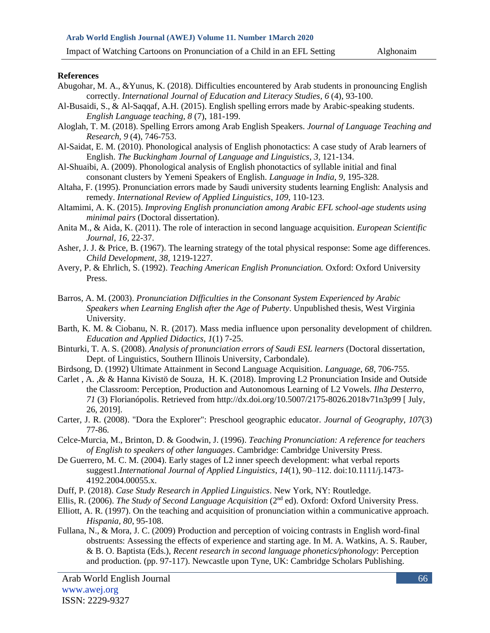Impact of Watching Cartoons on Pronunciation of a Child in an EFL Setting Alghonaim

#### **References**

- Abugohar, M. A., &Yunus, K. (2018). Difficulties encountered by Arab students in pronouncing English correctly. *International Journal of Education and Literacy Studies*, *6* (4), 93-100.
- Al-Busaidi, S., & Al-Saqqaf, A.H. (2015). English spelling errors made by Arabic-speaking students. *English Language teaching, 8* (7), 181-199.
- Aloglah, T. M. (2018). Spelling Errors among Arab English Speakers. *Journal of Language Teaching and Research, 9* (4), 746-753.
- Al-Saidat, E. M. (2010). Phonological analysis of English phonotactics: A case study of Arab learners of English. *The Buckingham Journal of Language and Linguistics*, *3,* 121-134.
- Al-Shuaibi, A. (2009). Phonological analysis of English phonotactics of syllable initial and final consonant clusters by Yemeni Speakers of English. *Language in India*, *9*, 195-328.
- Altaha, F. (1995). Pronunciation errors made by Saudi university students learning English: Analysis and remedy. *International Review of Applied Linguistics*, *109*, 110-123.
- Altamimi, A. K. (2015). *Improving English pronunciation among Arabic EFL school-age students using minimal pairs* (Doctoral dissertation).
- Anita M., & Aida, K. (2011). The role of interaction in second language acquisition. *European Scientific Journal*, *16,* 22-37.
- Asher, J. J. & Price, B. (1967). The learning strategy of the total physical response: Some age differences. *Child Development*, *38,* 1219-1227.
- Avery, P. & Ehrlich, S. (1992). *Teaching American English Pronunciation.* Oxford: Oxford University Press.
- Barros, A. M. (2003). *Pronunciation Difficulties in the Consonant System Experienced by Arabic Speakers when Learning English after the Age of Puberty*. Unpublished thesis, West Virginia University.
- Barth, K. M. & Ciobanu, N. R. (2017). Mass media influence upon personality development of children. *Education and Applied Didactics*, *1*(1) 7-25.
- Binturki, T. A. S. (2008). *Analysis of pronunciation errors of Saudi ESL learners* (Doctoral dissertation, Dept. of Linguistics, Southern Illinois University, Carbondale).
- Birdsong, D. (1992) Ultimate Attainment in Second Language Acquisition. *Language*, *68,* 706-755.
- Carlet , A. ,& & Hanna Kivistö de Souza, H. K. (2018). Improving L2 Pronunciation Inside and Outside the Classroom: Perception, Production and Autonomous Learning of L2 Vowels. *Ilha Desterro*, *71* (3) Florianópolis. Retrieved from <http://dx.doi.org/10.5007/2175-8026.2018v71n3p99> [ July, 26, 2019].
- Carter, J. R. (2008). "Dora the Explorer": Preschool geographic educator. *Journal of Geography, 107*(3) 77-86.
- Celce-Murcia, M., Brinton, D. & Goodwin, J. (1996). *Teaching Pronunciation: A reference for teachers of English to speakers of other languages*. Cambridge: Cambridge University Press.
- De Guerrero, M. C. M. (2004). Early stages of L2 inner speech development: what verbal reports suggest1.*International Journal of Applied Linguistics*, *14*(1), 90–112. doi:10.1111/j.1473- 4192.2004.00055.x.
- Duff, P. (2018). *Case Study Research in Applied Linguistics*. New York, NY: Routledge.
- Ellis, R. (2006). *The Study of Second Language Acquisition* (2<sup>nd</sup> ed). Oxford: Oxford University Press.
- Elliott, A. R. (1997). On the teaching and acquisition of pronunciation within a communicative approach. *Hispania, 80*, 95-108.
- Fullana, N., & Mora, J. C. (2009) Production and perception of voicing contrasts in English word-final obstruents: Assessing the effects of experience and starting age. In M. A. Watkins, A. S. Rauber, & B. O. Baptista (Eds.), *Recent research in second language phonetics/phonology*: Perception and production. (pp. 97-117). Newcastle upon Tyne, UK: Cambridge Scholars Publishing.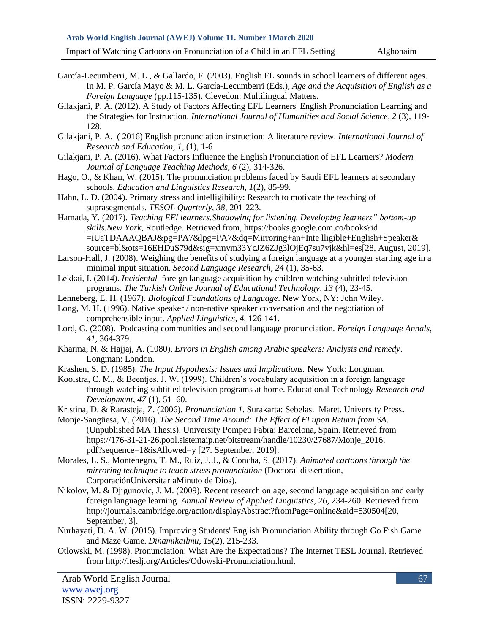Impact of Watching Cartoons on Pronunciation of a Child in an EFL Setting Alghonaim

- García-Lecumberri, M. L., & Gallardo, F. (2003). English FL sounds in school learners of different ages. In M. P. García Mayo & M. L. García-Lecumberri (Eds.), *Age and the Acquisition of English as a Foreign Language* (pp.115-135). Clevedon: Multilingual Matters.
- Gilakjani, P. A. (2012). A Study of Factors Affecting EFL Learners' English Pronunciation Learning and the Strategies for Instruction. *International Journal of Humanities and Social Science*, *2* (3), 119- 128.
- Gilakjani, P. A. ( 2016) English pronunciation instruction: A literature review. *International Journal of Research and Education, 1*, (1), 1-6
- Gilakjani, P. A. (2016). What Factors Influence the English Pronunciation of EFL Learners? *Modern Journal of Language Teaching Methods*, *6* (2), 314-326.
- Hago, O., & Khan, W. (2015). The pronunciation problems faced by Saudi EFL learners at secondary schools. *Education and Linguistics Research*, *1*(2), 85-99.
- Hahn, L. D. (2004). Primary stress and intelligibility: Research to motivate the teaching of suprasegmentals. *TESOL Quarterly, 38,* 201-223.
- Hamada, Y. (2017). *Teaching EFl learners.Shadowing for listening. Developing learners" bottom-up skills.New York*, Routledge. Retrieved from, [https://books.google.com.co/books?id](https://books.google.com.co/books?id%20=iUaTDAAAQBAJ&pg)  [=iUaTDAAAQBAJ&pg=](https://books.google.com.co/books?id%20=iUaTDAAAQBAJ&pg)PA7&lpg=PA7&dq=Mirroring+an+Inte lligible+English+Speaker& source=bl&ots=16EHDuS79d&sig=xmvm33YcJZ6ZJg3lOjEq7su7vjk&hl=es[28, August, 2019].
- Larson-Hall, J. (2008). Weighing the benefits of studying a foreign language at a younger starting age in a minimal input situation. *Second Language Research*, *24* (1), 35-63.
- Lekkai, I. (2014). *Incidental* foreign language acquisition by children watching subtitled television programs. *The Turkish Online Journal of Educational Technology*. *13* (4), 23-45.
- Lenneberg, E. H. (1967). *Biological Foundations of Language*. New York, NY: John Wiley.
- Long, M. H. (1996). Native speaker / non-native speaker conversation and the negotiation of comprehensible input. *Applied Linguistics, 4,* 126-141.
- Lord, G. (2008). Podcasting communities and second language pronunciation. *Foreign Language Annals*, *41,* 364-379.
- Kharma, N. & Hajjaj, A. (1080). *Errors in English among Arabic speakers: Analysis and remedy*. Longman: London.
- Krashen, S. D. (1985). *The Input Hypothesis: Issues and Implications.* New York: Longman.
- Koolstra, C. M., & Beentjes, J. W. (1999). Children's vocabulary acquisition in a foreign language through watching subtitled television programs at home. Educational Technology *Research and Development*, *47* (1), 51–60.
- Kristina, D. & Rarasteja, Z. (2006). *Pronunciation 1*. Surakarta: Sebelas. Maret. University Press**.**
- Monje-Sangüesa, V. (2016). *The Second Time Around: The Effect of FI upon Return from SA*. (Unpublished MA Thesis). University Pompeu Fabra: Barcelona, Spain. Retrieved from [https://176-31-21-26.pool.sistemaip.net/bitstream/handle/10230/27687/Monje\\_2016.](https://176-31-21-26.pool.sistemaip.net/bitstream/handle/10230/27687/Monje_2016) pdf?sequence=1&isAllowed=y [27. September, 2019].
- Morales, L. S., Montenegro, T. M., Ruiz, J. J., & Concha, S. (2017). *Animated cartoons through the mirroring technique to teach stress pronunciation* (Doctoral dissertation, CorporaciónUniversitariaMinuto de Dios).
- Nikolov, M. & Djigunovic, J. M. (2009). Recent research on age, second language acquisition and early foreign language learning. *Annual Review of Applied Linguistics, 26*, 234-260. Retrieved from [http://journals.cambridge.org/action/displayAbstract?](http://journals.cambridge.org/action/displayAbstract)fromPage=online&aid=530504[20, September, 3].
- Nurhayati, D. A. W. (2015). Improving Students' English Pronunciation Ability through Go Fish Game and Maze Game. *Dinamikailmu*, *15*(2), 215-233.
- Otlowski, M. (1998). Pronunciation: What Are the Expectations? [The Internet TESL Journal.](http://iteslj.org/) Retrieved from [http://iteslj.org/Articles/Otlowski-Pronunciation.html.](http://iteslj.org/Articles/Otlowski-Pronunciation.html)